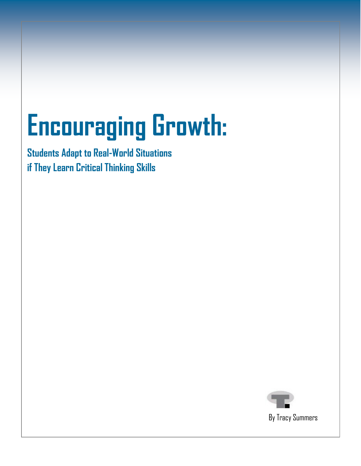## **Encouraging Growth:**

**Students Adapt to Real-World Situations if They Learn Critical Thinking Skills**



By Tracy Summers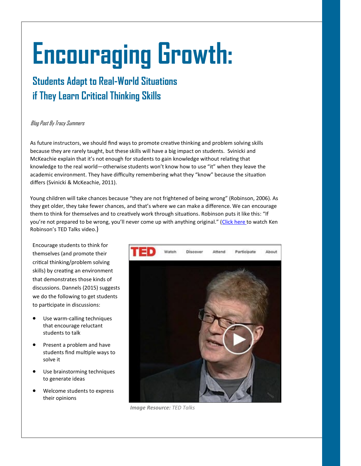# **Encouraging Growth:**

### **Students Adapt to Real-World Situations if They Learn Critical Thinking Skills**

### Blog Post By Tracy Summers

As future instructors, we should find ways to promote creative thinking and problem solving skills because they are rarely taught, but these skills will have a big impact on students. Svinicki and McKeachie explain that it's not enough for students to gain knowledge without relating that knowledge to the real world—otherwise students won't know how to use "it" when they leave the academic environment. They have difficulty remembering what they "know" because the situation differs (Svinicki & McKeachie, 2011).

Young children will take chances because "they are not frightened of being wrong" (Robinson, 2006). As they get older, they take fewer chances, and that's where we can make a difference. We can encourage them to think for themselves and to creatively work through situations. Robinson puts it like this: "If you're not prepared to be wrong, you'll never come up with anything original." (Click [here](https://www.ted.com/talks/ken_robinson_says_schools_kill_creativity#t-722279) to watch Ken Robinson's TED Talks video.)

Encourage students to think for themselves (and promote their critical thinking/problem solving skills) by creating an environment that demonstrates those kinds of discussions. Dannels (2015) suggests we do the following to get students to participate in discussions:

- Use warm-calling techniques that encourage reluctant students to talk
- Present a problem and have students find multiple ways to solve it
- Use brainstorming techniques to generate ideas
- Welcome students to express their opinions



*Image Resource: TED Talks*